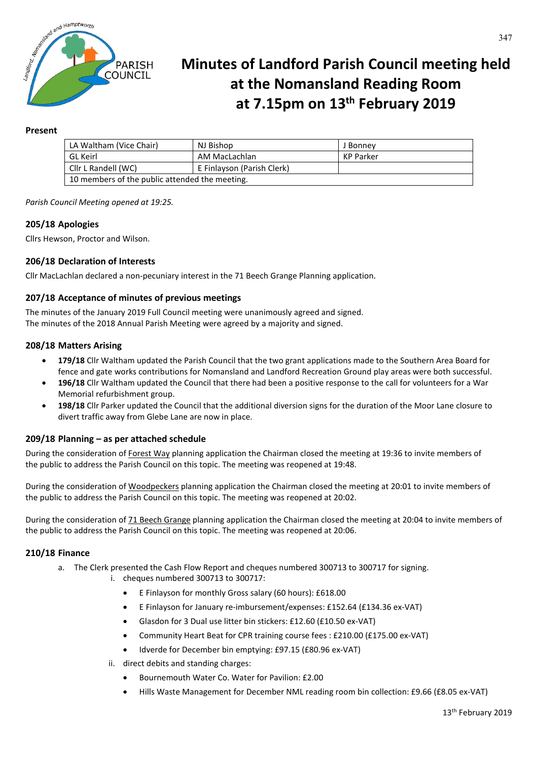

# **Minutes of Landford Parish Council meeting held at the Nomansland Reading Room at 7.15pm on 13th February 2019**

# **Present**

| LA Waltham (Vice Chair)                        | NJ Bishop                  | J Bonney  |
|------------------------------------------------|----------------------------|-----------|
| GL Keirl                                       | AM MacLachlan              | KP Parker |
| Cllr L Randell (WC)                            | E Finlayson (Parish Clerk) |           |
| 10 members of the public attended the meeting. |                            |           |

*Parish Council Meeting opened at 19:25.*

## **205/18 Apologies**

Cllrs Hewson, Proctor and Wilson.

## **206/18 Declaration of Interests**

Cllr MacLachlan declared a non-pecuniary interest in the 71 Beech Grange Planning application.

## **207/18 Acceptance of minutes of previous meetings**

The minutes of the January 2019 Full Council meeting were unanimously agreed and signed. The minutes of the 2018 Annual Parish Meeting were agreed by a majority and signed.

#### **208/18 Matters Arising**

- **179/18** Cllr Waltham updated the Parish Council that the two grant applications made to the Southern Area Board for fence and gate works contributions for Nomansland and Landford Recreation Ground play areas were both successful.
- **196/18** Cllr Waltham updated the Council that there had been a positive response to the call for volunteers for a War Memorial refurbishment group.
- **198/18** Cllr Parker updated the Council that the additional diversion signs for the duration of the Moor Lane closure to divert traffic away from Glebe Lane are now in place.

#### **209/18 Planning – as per attached schedule**

During the consideration of Forest Way planning application the Chairman closed the meeting at 19:36 to invite members of the public to address the Parish Council on this topic. The meeting was reopened at 19:48.

During the consideration of Woodpeckers planning application the Chairman closed the meeting at 20:01 to invite members of the public to address the Parish Council on this topic. The meeting was reopened at 20:02.

During the consideration of 71 Beech Grange planning application the Chairman closed the meeting at 20:04 to invite members of the public to address the Parish Council on this topic. The meeting was reopened at 20:06.

#### **210/18 Finance**

- a. The Clerk presented the Cash Flow Report and cheques numbered 300713 to 300717 for signing.
	- i. cheques numbered 300713 to 300717:
		- E Finlayson for monthly Gross salary (60 hours): £618.00
		- E Finlayson for January re-imbursement/expenses: £152.64 (£134.36 ex-VAT)
		- Glasdon for 3 Dual use litter bin stickers: £12.60 (£10.50 ex-VAT)
		- Community Heart Beat for CPR training course fees : £210.00 (£175.00 ex-VAT)
		- Idverde for December bin emptying: £97.15 (£80.96 ex-VAT)
		- ii. direct debits and standing charges:
			- Bournemouth Water Co. Water for Pavilion: £2.00
			- Hills Waste Management for December NML reading room bin collection: £9.66 (£8.05 ex-VAT)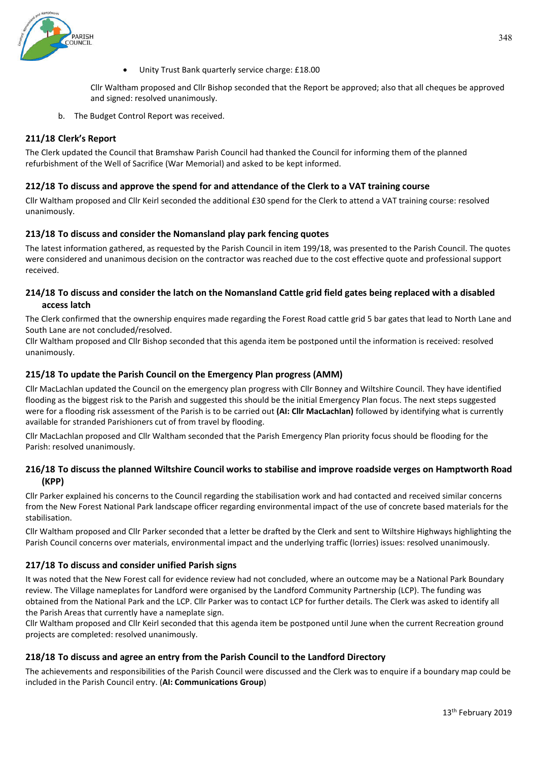

Unity Trust Bank quarterly service charge: £18.00

Cllr Waltham proposed and Cllr Bishop seconded that the Report be approved; also that all cheques be approved and signed: resolved unanimously.

b. The Budget Control Report was received.

# **211/18 Clerk's Report**

The Clerk updated the Council that Bramshaw Parish Council had thanked the Council for informing them of the planned refurbishment of the Well of Sacrifice (War Memorial) and asked to be kept informed.

## **212/18 To discuss and approve the spend for and attendance of the Clerk to a VAT training course**

Cllr Waltham proposed and Cllr Keirl seconded the additional £30 spend for the Clerk to attend a VAT training course: resolved unanimously.

## **213/18 To discuss and consider the Nomansland play park fencing quotes**

The latest information gathered, as requested by the Parish Council in item 199/18, was presented to the Parish Council. The quotes were considered and unanimous decision on the contractor was reached due to the cost effective quote and professional support received.

# **214/18 To discuss and consider the latch on the Nomansland Cattle grid field gates being replaced with a disabled access latch**

The Clerk confirmed that the ownership enquires made regarding the Forest Road cattle grid 5 bar gates that lead to North Lane and South Lane are not concluded/resolved.

Cllr Waltham proposed and Cllr Bishop seconded that this agenda item be postponed until the information is received: resolved unanimously.

## **215/18 To update the Parish Council on the Emergency Plan progress (AMM)**

Cllr MacLachlan updated the Council on the emergency plan progress with Cllr Bonney and Wiltshire Council. They have identified flooding as the biggest risk to the Parish and suggested this should be the initial Emergency Plan focus. The next steps suggested were for a flooding risk assessment of the Parish is to be carried out **(AI: Cllr MacLachlan)** followed by identifying what is currently available for stranded Parishioners cut of from travel by flooding.

Cllr MacLachlan proposed and Cllr Waltham seconded that the Parish Emergency Plan priority focus should be flooding for the Parish: resolved unanimously.

# **216/18 To discuss the planned Wiltshire Council works to stabilise and improve roadside verges on Hamptworth Road (KPP)**

Cllr Parker explained his concerns to the Council regarding the stabilisation work and had contacted and received similar concerns from the New Forest National Park landscape officer regarding environmental impact of the use of concrete based materials for the stabilisation.

Cllr Waltham proposed and Cllr Parker seconded that a letter be drafted by the Clerk and sent to Wiltshire Highways highlighting the Parish Council concerns over materials, environmental impact and the underlying traffic (lorries) issues: resolved unanimously.

#### **217/18 To discuss and consider unified Parish signs**

It was noted that the New Forest call for evidence review had not concluded, where an outcome may be a National Park Boundary review. The Village nameplates for Landford were organised by the Landford Community Partnership (LCP). The funding was obtained from the National Park and the LCP. Cllr Parker was to contact LCP for further details. The Clerk was asked to identify all the Parish Areas that currently have a nameplate sign.

Cllr Waltham proposed and Cllr Keirl seconded that this agenda item be postponed until June when the current Recreation ground projects are completed: resolved unanimously.

# **218/18 To discuss and agree an entry from the Parish Council to the Landford Directory**

The achievements and responsibilities of the Parish Council were discussed and the Clerk was to enquire if a boundary map could be included in the Parish Council entry. (**AI: Communications Group**)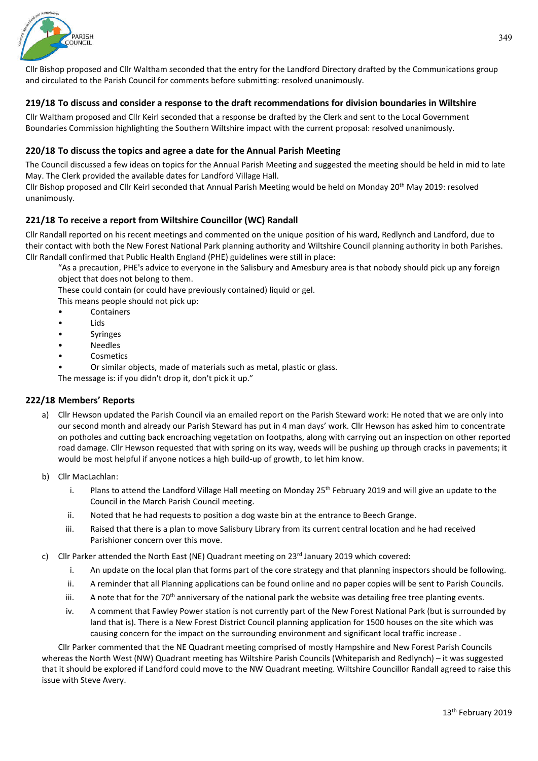

Cllr Bishop proposed and Cllr Waltham seconded that the entry for the Landford Directory drafted by the Communications group and circulated to the Parish Council for comments before submitting: resolved unanimously.

# **219/18 To discuss and consider a response to the draft recommendations for division boundaries in Wiltshire**

Cllr Waltham proposed and Cllr Keirl seconded that a response be drafted by the Clerk and sent to the Local Government Boundaries Commission highlighting the Southern Wiltshire impact with the current proposal: resolved unanimously.

## **220/18 To discuss the topics and agree a date for the Annual Parish Meeting**

The Council discussed a few ideas on topics for the Annual Parish Meeting and suggested the meeting should be held in mid to late May. The Clerk provided the available dates for Landford Village Hall.

Cllr Bishop proposed and Cllr Keirl seconded that Annual Parish Meeting would be held on Monday 20th May 2019: resolved unanimously.

## **221/18 To receive a report from Wiltshire Councillor (WC) Randall**

Cllr Randall reported on his recent meetings and commented on the unique position of his ward, Redlynch and Landford, due to their contact with both the New Forest National Park planning authority and Wiltshire Council planning authority in both Parishes. Cllr Randall confirmed that Public Health England (PHE) guidelines were still in place:

"As a precaution, PHE's advice to everyone in the Salisbury and Amesbury area is that nobody should pick up any foreign object that does not belong to them.

These could contain (or could have previously contained) liquid or gel.

This means people should not pick up:

- **Containers**
- Lids
- **Syringes**
- **Needles**
- **Cosmetics**

• Or similar objects, made of materials such as metal, plastic or glass.

The message is: if you didn't drop it, don't pick it up."

#### **222/18 Members' Reports**

- a) Cllr Hewson updated the Parish Council via an emailed report on the Parish Steward work: He noted that we are only into our second month and already our Parish Steward has put in 4 man days' work. Cllr Hewson has asked him to concentrate on potholes and cutting back encroaching vegetation on footpaths, along with carrying out an inspection on other reported road damage. Cllr Hewson requested that with spring on its way, weeds will be pushing up through cracks in pavements; it would be most helpful if anyone notices a high build-up of growth, to let him know.
- b) Cllr MacLachlan:
	- i. Plans to attend the Landford Village Hall meeting on Monday  $25<sup>th</sup>$  February 2019 and will give an update to the Council in the March Parish Council meeting.
	- ii. Noted that he had requests to position a dog waste bin at the entrance to Beech Grange.
	- iii. Raised that there is a plan to move Salisbury Library from its current central location and he had received Parishioner concern over this move.
- c) Cllr Parker attended the North East (NE) Quadrant meeting on  $23<sup>rd</sup>$  January 2019 which covered:
	- i. An update on the local plan that forms part of the core strategy and that planning inspectors should be following.
	- ii. A reminder that all Planning applications can be found online and no paper copies will be sent to Parish Councils.
	- iii. A note that for the 70<sup>th</sup> anniversary of the national park the website was detailing free tree planting events.
	- iv. A comment that Fawley Power station is not currently part of the New Forest National Park (but is surrounded by land that is). There is a New Forest District Council planning application for 1500 houses on the site which was causing concern for the impact on the surrounding environment and significant local traffic increase .

Cllr Parker commented that the NE Quadrant meeting comprised of mostly Hampshire and New Forest Parish Councils whereas the North West (NW) Quadrant meeting has Wiltshire Parish Councils (Whiteparish and Redlynch) – it was suggested that it should be explored if Landford could move to the NW Quadrant meeting. Wiltshire Councillor Randall agreed to raise this issue with Steve Avery.